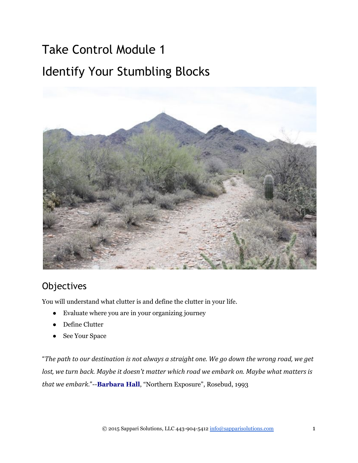# Take Control Module 1 Identify Your Stumbling Blocks



# **Objectives**

You will understand what clutter is and define the clutter in your life.

- Evaluate where you are in your organizing journey
- Define Clutter
- See Your Space

"*The path to our destination is not always a straight one. We go down the wrong road, we get lost, we turn back. Maybe it doesn't matter which road we embark on. Maybe what matters is that we embark."* -- **[Barbara Hall](http://www.quotationspage.com/quotes/Barbara_Hall/)**, "Northern Exposure", Rosebud, 1993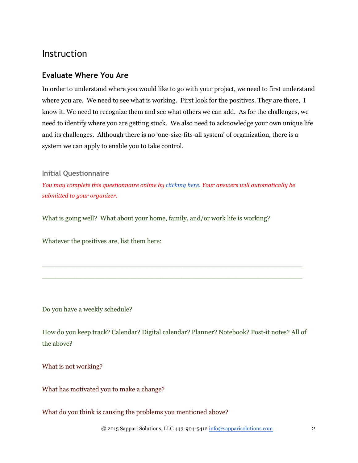# Instruction

#### **Evaluate Where You Are**

In order to understand where you would like to go with your project, we need to first understand where you are. We need to see what is working. First look for the positives. They are there, I know it. We need to recognize them and see what others we can add. As for the challenges, we need to identify where you are getting stuck. We also need to acknowledge your own unique life and its challenges. Although there is no 'one-size-fits-all system' of organization, there is a system we can apply to enable you to take control.

#### **Initial Questionnaire**

*You may complete this questionnaire online by [clicking](http://sapparisolutions.com/contact/initial-questionnaire-form-submission) here. Your answers will automatically be submitted to your organizer.*

What is going well? What about your home, family, and/or work life is working?

Whatever the positives are, list them here:

Do you have a weekly schedule?

How do you keep track? Calendar? Digital calendar? Planner? Notebook? Post-it notes? All of the above?

\_\_\_\_\_\_\_\_\_\_\_\_\_\_\_\_\_\_\_\_\_\_\_\_\_\_\_\_\_\_\_\_\_\_\_\_\_\_\_\_\_\_\_\_\_\_\_\_\_\_\_\_\_\_\_\_\_\_\_\_\_\_\_ \_\_\_\_\_\_\_\_\_\_\_\_\_\_\_\_\_\_\_\_\_\_\_\_\_\_\_\_\_\_\_\_\_\_\_\_\_\_\_\_\_\_\_\_\_\_\_\_\_\_\_\_\_\_\_\_\_\_\_\_\_\_\_

What is not working?

What has motivated you to make a change?

What do you think is causing the problems you mentioned above?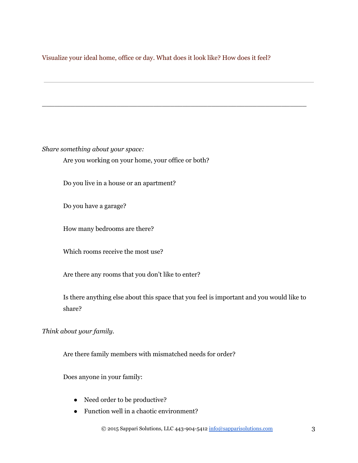#### Visualize your ideal home, office or day. What does it look like? How does it feel?

\_\_\_\_\_\_\_\_\_\_\_\_\_\_\_\_\_\_\_\_\_\_\_\_\_\_\_\_\_\_\_\_\_\_\_\_\_\_\_\_\_\_\_\_\_\_\_\_\_\_\_\_\_\_\_\_\_\_\_\_\_\_\_\_

*Share something about your space:*

Are you working on your home, your office or both?

Do you live in a house or an apartment?

Do you have a garage?

How many bedrooms are there?

Which rooms receive the most use?

Are there any rooms that you don't like to enter?

Is there anything else about this space that you feel is important and you would like to share?

*Think about your family.*

Are there family members with mismatched needs for order?

Does anyone in your family:

- Need order to be productive?
- Function well in a chaotic environment?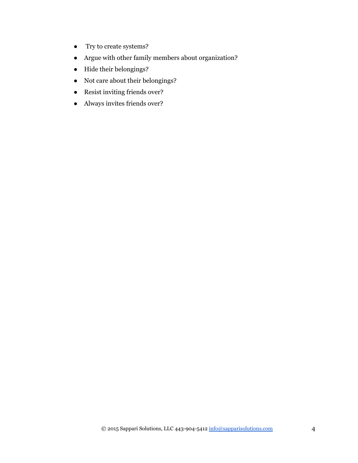- Try to create systems?
- Argue with other family members about organization?
- Hide their belongings?
- Not care about their belongings?
- Resist inviting friends over?
- Always invites friends over?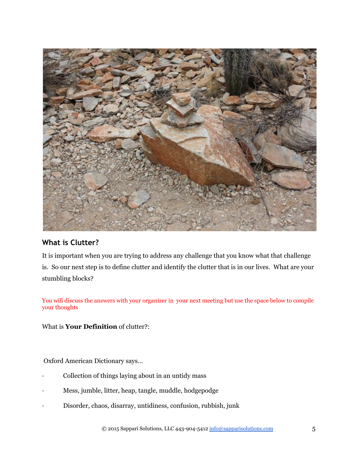

## **What is Clutter?**

It is important when you are trying to address any challenge that you know what that challenge is. So our next step is to define clutter and identify the clutter that is in our lives. What are your stumbling blocks?

You will discuss the answers with your organizer in your next meeting but use the space below to compile your thoughts

What is **Your Definition** of clutter?:

Oxford American Dictionary says…

- Collection of things laying about in an untidy mass
- · Mess, jumble, litter, heap, tangle, muddle, hodgepodge
- · Disorder, chaos, disarray, untidiness, confusion, rubbish, junk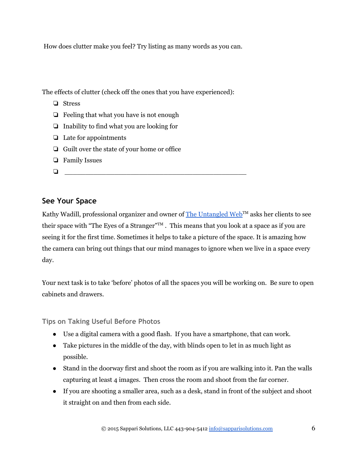How does clutter make you feel? Try listing as many words as you can.

The effects of clutter (check off the ones that you have experienced):

- ❏ Stress
- ❏ Feeling that what you have is not enough
- ❏ Inability to find what you are looking for
- ❏ Late for appointments
- ❏ Guilt over the state of your home or office
- ❏ Family Issues
- $\Box$

### **See Your Space**

Kathy Wadill, professional organizer and owner of <u>The Untangled Web</u>™ asks her clients to see their space with "The Eyes of a Stranger" $^{\text{TM}}$ . This means that you look at a space as if you are seeing it for the first time. Sometimes it helps to take a picture of the space. It is amazing how the camera can bring out things that our mind manages to ignore when we live in a space every day.

Your next task is to take 'before' photos of all the spaces you will be working on. Be sure to open cabinets and drawers.

**Tips on Taking Useful Before Photos**

- Use a digital camera with a good flash. If you have a smartphone, that can work.
- Take pictures in the middle of the day, with blinds open to let in as much light as possible.
- Stand in the doorway first and shoot the room as if you are walking into it. Pan the walls capturing at least 4 images. Then cross the room and shoot from the far corner.
- If you are shooting a smaller area, such as a desk, stand in front of the subject and shoot it straight on and then from each side.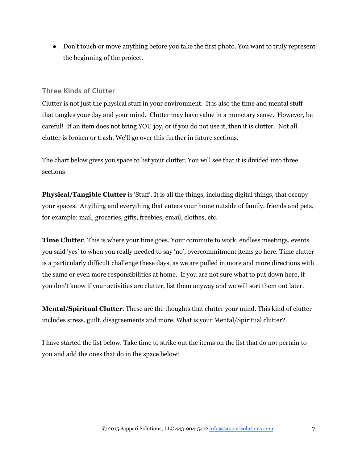• Don't touch or move anything before you take the first photo. You want to truly represent the beginning of the project.

#### **Three Kinds of Clutter**

Clutter is not just the physical stuff in your environment. It is also the time and mental stuff that tangles your day and your mind. Clutter may have value in a monetary sense. However, be careful! If an item does not bring YOU joy, or if you do not use it, then it is clutter. Not all clutter is broken or trash. We'll go over this further in future sections.

The chart below gives you space to list your clutter. You will see that it is divided into three sections:

**Physical/Tangible Clutter** is 'Stuff'. It is all the things, including digital things, that occupy your spaces. Anything and everything that enters your home outside of family, friends and pets, for example: mail, groceries, gifts, freebies, email, clothes, etc.

**Time Clutter.** This is where your time goes. Your commute to work, endless meetings, events you said 'yes' to when you really needed to say 'no', overcommitment items go here. Time clutter is a particularly difficult challenge these days, as we are pulled in more and more directions with the same or even more responsibilities at home. If you are not sure what to put down here, if you don't know if your activities are clutter, list them anyway and we will sort them out later.

**Mental/Spiritual Clutter**. These are the thoughts that clutter your mind. This kind of clutter includes stress, guilt, disagreements and more. What is your Mental/Spiritual clutter?

I have started the list below. Take time to strike out the items on the list that do not pertain to you and add the ones that do in the space below: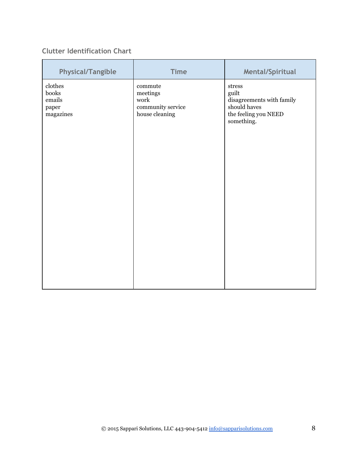### **Clutter Identification Chart**

| clothes<br>commute<br>$_{\mbox{stress}}$<br>books<br>guilt<br>meetings<br>emails<br>work<br>disagreements with family<br>should haves<br>community service<br>paper<br>house cleaning<br>the feeling you NEED<br>magazines<br>something. |  |
|------------------------------------------------------------------------------------------------------------------------------------------------------------------------------------------------------------------------------------------|--|